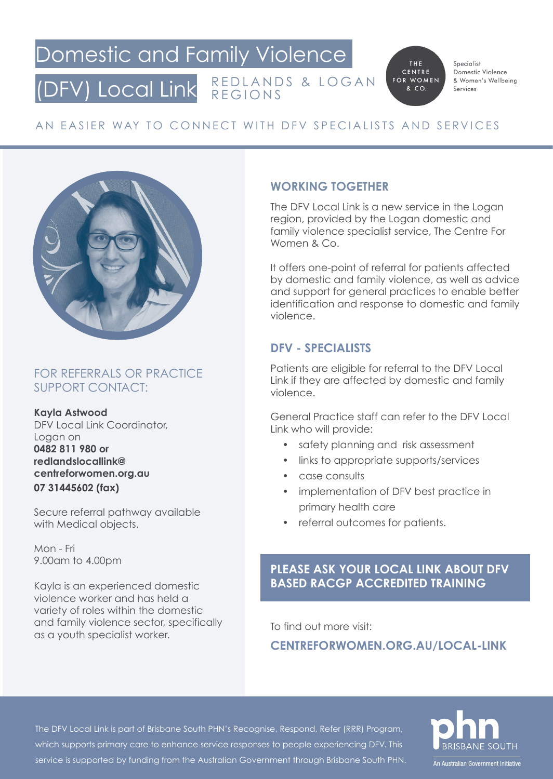### Domestic and Family Violence (DFV) Local Link REDLANDS & LOGAN REGIONS

THE CENTRE FOR WOMEN & CO.

Specialist Domestic Violence & Women's Wellbeing Services

# AN EASIER WAY TO CONNECT WITH DFV SPECIALISTS AND SERVICES



#### FOR REFERRALS OR PRACTICE SUPPORT CONTACT:

**Kayla Astwood**

DFV Local Link Coordinator, Logan on **0482 811 980 or redlandslocallink@ centreforwomen.org.au 07 31445602 (fax)**

Secure referral pathway available with Medical objects.

Mon - Fri 9.00am to 4.00pm

Kayla is an experienced domestic violence worker and has held a variety of roles within the domestic and family violence sector, specifically as a youth specialist worker.

#### **WORKING TOGETHER**

The DFV Local Link is a new service in the Logan region, provided by the Logan domestic and family violence specialist service, The Centre For Women & Co.

It offers one-point of referral for patients affected by domestic and family violence, as well as advice and support for general practices to enable better identification and response to domestic and family violence.

## **DFV - SPECIALISTS**

Patients are eligible for referral to the DFV Local Link if they are affected by domestic and family violence.

General Practice staff can refer to the DFV Local Link who will provide:

- safety planning and risk assessment
- links to appropriate supports/services
- case consults
- implementation of DFV best practice in primary health care
- referral outcomes for patients.

#### **PLEASE ASK YOUR LOCAL LINK ABOUT DFV BASED RACGP ACCREDITED TRAINING**

To find out more visit:

**CENTREFORWOMEN.ORG.AU/LOCAL-LINK**

The DFV Local Link is part of Brisbane South PHN's Recognise, Respond, Refer (RRR) Program, which supports primary care to enhance service responses to people experiencing DFV. This service is supported by funding from the Australian Government through Brisbane South PHN.